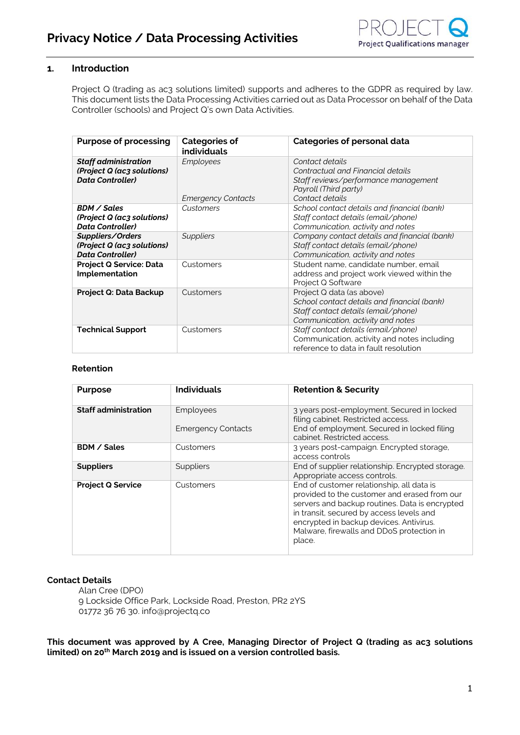### **1. Introduction**

Project Q (trading as ac3 solutions limited) supports and adheres to the GDPR as required by law. This document lists the Data Processing Activities carried out as Data Processor on behalf of the Data Controller (schools) and Project Q's own Data Activities.

| <b>Purpose of processing</b>                                                         | <b>Categories of</b><br>individuals           | Categories of personal data                                                                                                                          |  |
|--------------------------------------------------------------------------------------|-----------------------------------------------|------------------------------------------------------------------------------------------------------------------------------------------------------|--|
| <b>Staff administration</b><br>(Project Q (ac3 solutions)<br><b>Data Controller)</b> | <b>Employees</b><br><b>Emergency Contacts</b> | Contact details<br>Contractual and Financial details<br>Staff reviews/performance management<br>Payroll (Third party)<br>Contact details             |  |
| BDM / Sales<br>(Project Q (ac3 solutions)<br><b>Data Controller)</b>                 | Customers                                     | School contact details and financial (bank)<br>Staff contact details (email/phone)<br>Communication, activity and notes                              |  |
| Suppliers/Orders<br>(Project Q (ac3 solutions)<br><b>Data Controller)</b>            | <b>Suppliers</b>                              | Company contact details and financial (bank)<br>Staff contact details (email/phone)<br>Communication, activity and notes                             |  |
| <b>Project Q Service: Data</b><br><b>Implementation</b>                              | Customers                                     | Student name, candidate number, email<br>address and project work viewed within the<br>Project Q Software                                            |  |
| Project Q: Data Backup                                                               | Customers                                     | Project Q data (as above)<br>School contact details and financial (bank)<br>Staff contact details (email/phone)<br>Communication, activity and notes |  |
| <b>Technical Support</b>                                                             | Customers                                     | Staff contact details (email/phone)<br>Communication, activity and notes including<br>reference to data in fault resolution                          |  |

#### **Retention**

| <b>Purpose</b>              | <b>Individuals</b>                     | <b>Retention &amp; Security</b>                                                                                                                                                                                                                                                           |  |
|-----------------------------|----------------------------------------|-------------------------------------------------------------------------------------------------------------------------------------------------------------------------------------------------------------------------------------------------------------------------------------------|--|
| <b>Staff administration</b> | Employees<br><b>Emergency Contacts</b> | 3 years post-employment. Secured in locked<br>filing cabinet. Restricted access.<br>End of employment. Secured in locked filing<br>cabinet. Restricted access.                                                                                                                            |  |
| <b>BDM / Sales</b>          | Customers                              | 3 years post-campaign. Encrypted storage,<br>access controls                                                                                                                                                                                                                              |  |
| <b>Suppliers</b>            | Suppliers                              | End of supplier relationship. Encrypted storage.<br>Appropriate access controls.                                                                                                                                                                                                          |  |
| <b>Project Q Service</b>    | Customers                              | End of customer relationship, all data is<br>provided to the customer and erased from our<br>servers and backup routines. Data is encrypted<br>in transit, secured by access levels and<br>encrypted in backup devices. Antivirus.<br>Malware, firewalls and DDoS protection in<br>place. |  |

#### **Contact Details**

Alan Cree (DPO) 9 Lockside Office Park, Lockside Road, Preston, PR2 2YS 01772 36 76 30. info@projectq.co

**This document was approved by A Cree, Managing Director of Project Q (trading as ac3 solutions limited) on 20th March 2019 and is issued on a version controlled basis.**